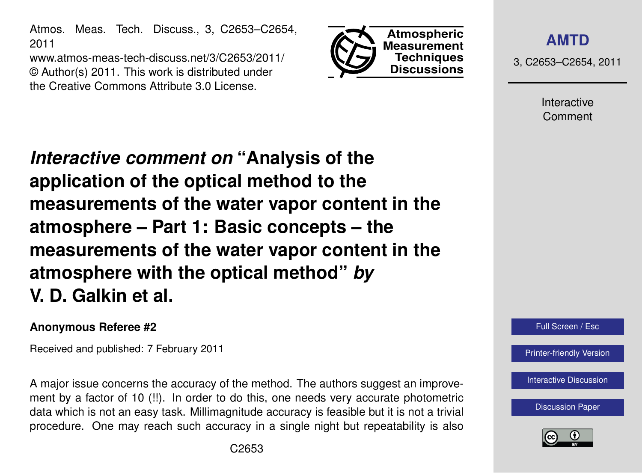Atmos. Meas. Tech. Discuss., 3, C2653–C2654, 2011

www.atmos-meas-tech-discuss.net/3/C2653/2011/ © Author(s) 2011. This work is distributed under the Creative Commons Attribute 3.0 License.



**[AMTD](http://www.atmos-meas-tech-discuss.net)**

3, C2653–C2654, 2011

Interactive Comment

*Interactive comment on* **"Analysis of the application of the optical method to the measurements of the water vapor content in the atmosphere – Part 1: Basic concepts – the measurements of the water vapor content in the atmosphere with the optical method"** *by* **V. D. Galkin et al.**

## **Anonymous Referee #2**

Received and published: 7 February 2011

A major issue concerns the accuracy of the method. The authors suggest an improvement by a factor of 10 (!!). In order to do this, one needs very accurate photometric data which is not an easy task. Millimagnitude accuracy is feasible but it is not a trivial procedure. One may reach such accuracy in a single night but repeatability is also



[Printer-friendly Version](http://www.atmos-meas-tech-discuss.net/3/C2653/2011/amtd-3-C2653-2011-print.pdf)

[Interactive Discussion](http://www.atmos-meas-tech-discuss.net/3/5705/2010/amtd-3-5705-2010-discussion.html)

[Discussion Paper](http://www.atmos-meas-tech-discuss.net/3/5705/2010/amtd-3-5705-2010.pdf)